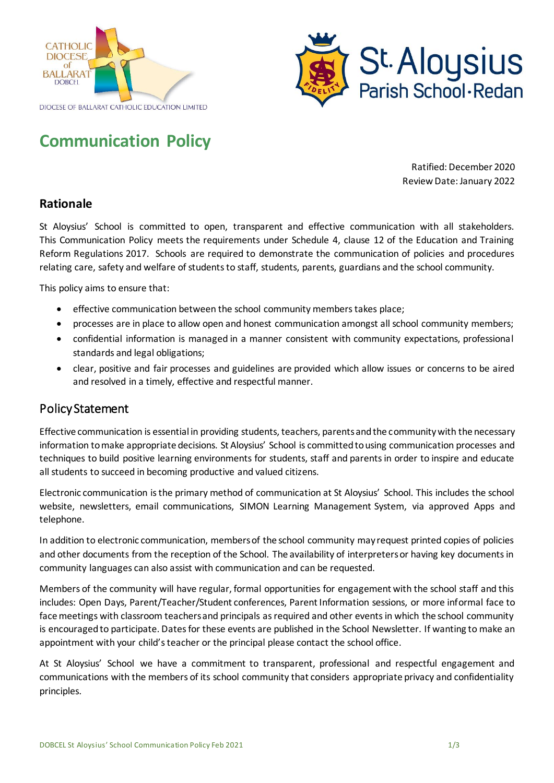



# **Communication Policy**

Ratified: December 2020 Review Date: January 2022

### **Rationale**

St Aloysius' School is committed to open, transparent and effective communication with all stakeholders. This Communication Policy meets the requirements under Schedule 4, clause 12 of the Education and Training Reform Regulations 2017. Schools are required to demonstrate the communication of policies and procedures relating care, safety and welfare of students to staff, students, parents, guardians and the school community.

This policy aims to ensure that:

- effective communication between the school community members takes place;
- processes are in place to allow open and honest communication amongst all school community members;
- confidential information is managed in a manner consistent with community expectations, professional standards and legal obligations;
- clear, positive and fair processes and guidelines are provided which allow issues or concerns to be aired and resolved in a timely, effective and respectful manner.

#### Policy Statement

Effective communication is essential in providing students, teachers, parents and the community with the necessary information to make appropriate decisions. St Aloysius' School is committed to using communication processes and techniques to build positive learning environments for students, staff and parents in order to inspire and educate all students to succeed in becoming productive and valued citizens.

Electronic communication is the primary method of communication at St Aloysius' School. This includes the school website, newsletters, email communications, SIMON Learning Management System, via approved Apps and telephone.

In addition to electronic communication, members of the school community may request printed copies of policies and other documents from the reception of the School. The availability of interpreters or having key documents in community languages can also assist with communication and can be requested.

Members of the community will have regular, formal opportunities for engagement with the school staff and this includes: Open Days, Parent/Teacher/Student conferences, Parent Information sessions, or more informal face to face meetings with classroom teachers and principals as required and other events in which the school community is encouraged to participate. Dates for these events are published in the School Newsletter. If wanting to make an appointment with your child's teacher or the principal please contact the school office.

At St Aloysius' School we have a commitment to transparent, professional and respectful engagement and communications with the members of its school community that considers appropriate privacy and confidentiality principles.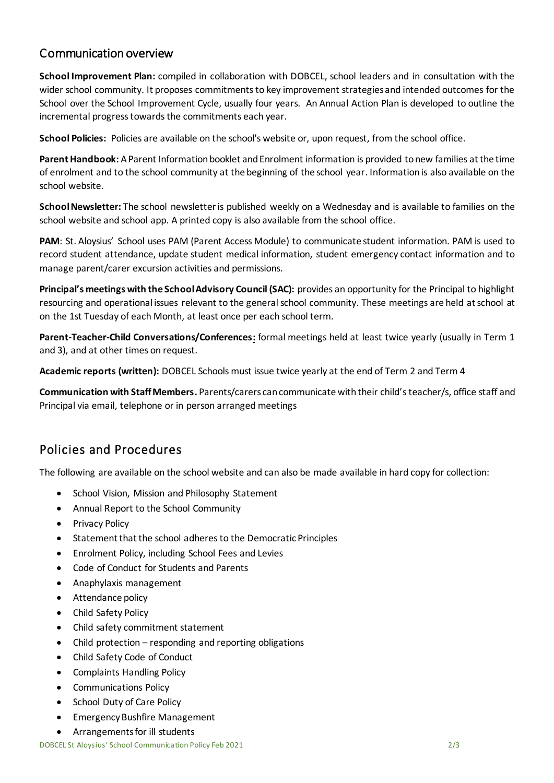## Communication overview

**School Improvement Plan:** compiled in collaboration with DOBCEL, school leaders and in consultation with the wider school community. It proposes commitments to key improvement strategies and intended outcomes for the School over the School Improvement Cycle, usually four years. An Annual Action Plan is developed to outline the incremental progress towards the commitments each year.

**School Policies:** Policies are available on the school's website or, upon request, from the school office.

**Parent Handbook:** A Parent Information booklet and Enrolment information is provided to new families at the time of enrolment and to the school community at the beginning of the school year. Informationis also available on the school website.

**School Newsletter:** The school newsletter is published weekly on a Wednesday and is available to families on the school website and school app. A printed copy is also available from the school office.

**PAM**: St. Aloysius' School uses PAM (Parent Access Module) to communicate student information. PAM is used to record student attendance, update student medical information, student emergency contact information and to manage parent/carer excursion activities and permissions.

**Principal's meetings with the School Advisory Council (SAC):** provides an opportunity for the Principal to highlight resourcing and operational issues relevant to the generalschool community. These meetings are held at school at on the 1st Tuesday of each Month, at least once per each school term.

**Parent-Teacher-Child Conversations/Conferences:** formal meetings held at least twice yearly (usually in Term 1 and 3), and at other times on request.

**Academic reports (written):** DOBCEL Schools must issue twice yearly at the end of Term 2 and Term 4

**Communication with Staff Members.** Parents/carers can communicate with their child's teacher/s, office staff and Principal via email, telephone or in person arranged meetings

# Policies and Procedures

The following are available on the school website and can also be made available in hard copy for collection:

- School Vision, Mission and Philosophy Statement
- Annual Report to the School Community
- Privacy Policy
- Statement that the school adheres to the Democratic Principles
- Enrolment Policy, including School Fees and Levies
- Code of Conduct for Students and Parents
- Anaphylaxis management
- **•** Attendance policy
- Child Safety Policy
- Child safety commitment statement
- Child protection responding and reporting obligations
- Child Safety Code of Conduct
- Complaints Handling Policy
- Communications Policy
- School Duty of Care Policy
- Emergency Bushfire Management
- Arrangements for ill students

DOBCEL St Aloysius' School Communication Policy Feb 2021 2/3